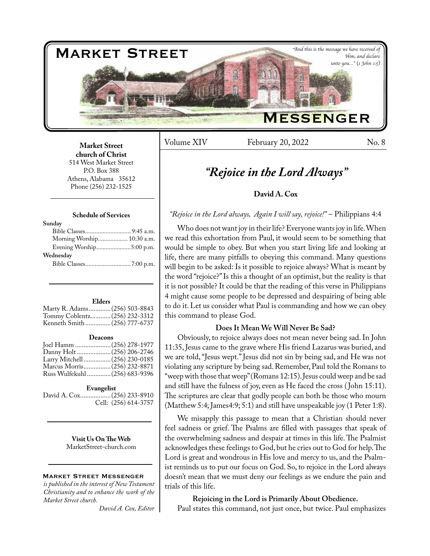

Volume XIV February 20, 2022 No. 8

**Market Street church of Christ**  514 West Market Street P.O. Box 388 Athens, Alabama 35612 Phone (256) 232-1525

# **Schedule of Services**

| Morning Worship 10:30 a.m. |
|----------------------------|
| Evening Worship5:00 p.m.   |
|                            |
|                            |
|                            |

#### **Elders**

| Marty R. Adams (256) 503-8843 |  |
|-------------------------------|--|
| Tommy Coblentz (256) 232-3312 |  |
| Kenneth Smith(256) 777-6737   |  |

#### **Deacons**

| Joel Hamm  (256) 278-1977      |  |
|--------------------------------|--|
|                                |  |
| Larry Mitchell  (256) 230-0185 |  |
| Marcus Morris (256) 232-8871   |  |
| Russ Wulfekuhl  (256) 683-9396 |  |
|                                |  |

#### **Evangelist**

David A. Cox..................(256) 233-8910 Cell: (256) 614-3757

> **Visit Us On The Web** MarketStreet-church.com

### Market Street Messenger

*is published in the interest of New Testament Christianity and to enhance the work of the Market Street church.*

*David A. Cox, Editor*

# *"Rejoice in the Lord Always"*

# **David A. Cox**

# *"Rejoice in the Lord always, Again I will say, rejoice!"* – Philippians 4:4

Who does not want joy in their life? Everyone wants joy in life. When we read this exhortation from Paul, it would seem to be something that would be simple to obey. But when you start living life and looking at life, there are many pitfalls to obeying this command. Many questions will begin to be asked: Is it possible to rejoice always? What is meant by the word "rejoice?" Is this a thought of an optimist, but the reality is that it is not possible? It could be that the reading of this verse in Philippians 4 might cause some people to be depressed and despairing of being able to do it. Let us consider what Paul is commanding and how we can obey this command to please God.

# **Does It Mean We Will Never Be Sad?**

Obviously, to rejoice always does not mean never being sad. In John 11:35, Jesus came to the grave where His friend Lazarus was buried, and we are told, "Jesus wept." Jesus did not sin by being sad, and He was not violating any scripture by being sad. Remember, Paul told the Romans to "weep with those that weep" (Romans 12:15). Jesus could weep and be sad and still have the fulness of joy, even as He faced the cross ( John 15:11). The scriptures are clear that godly people can both be those who mourn (Matthew 5:4; James4:9; 5:1) and still have unspeakable joy (1 Peter 1:8).

We misapply this passage to mean that a Christian should never feel sadness or grief. The Psalms are filled with passages that speak of the overwhelming sadness and despair at times in this life. The Psalmist acknowledges these feelings to God, but he cries out to God for help. The Lord is great and wondrous in His love and mercy to us, and the Psalmist reminds us to put our focus on God. So, to rejoice in the Lord always doesn't mean that we must deny our feelings as we endure the pain and trials of this life.

**Rejoicing in the Lord is Primarily About Obedience.** Paul states this command, not just once, but twice. Paul emphasizes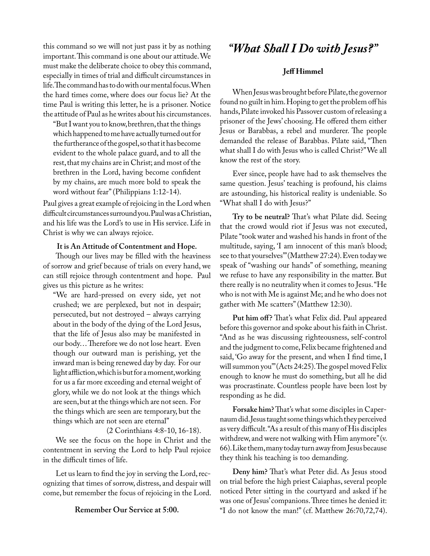this command so we will not just pass it by as nothing important. This command is one about our attitude. We must make the deliberate choice to obey this command, especially in times of trial and difficult circumstances in life. The command has to do with our mental focus. When the hard times come, where does our focus lie? At the time Paul is writing this letter, he is a prisoner. Notice the attitude of Paul as he writes about his circumstances.

"But I want you to know, brethren, that the things which happened to me have actually turned out for the furtherance of the gospel, so that it has become evident to the whole palace guard, and to all the rest, that my chains are in Christ; and most of the brethren in the Lord, having become confident by my chains, are much more bold to speak the word without fear" (Philippians 1:12-14).

Paul gives a great example of rejoicing in the Lord when difficult circumstances surround you. Paul was a Christian, and his life was the Lord's to use in His service. Life in Christ is why we can always rejoice.

# **It is An Attitude of Contentment and Hope.**

Though our lives may be filled with the heaviness of sorrow and grief because of trials on every hand, we can still rejoice through contentment and hope. Paul gives us this picture as he writes:

"We are hard-pressed on every side, yet not crushed; we are perplexed, but not in despair; persecuted, but not destroyed – always carrying about in the body of the dying of the Lord Jesus, that the life of Jesus also may be manifested in our body… Therefore we do not lose heart. Even though our outward man is perishing, yet the inward man is being renewed day by day. For our light affliction, which is but for a moment, working for us a far more exceeding and eternal weight of glory, while we do not look at the things which are seen, but at the things which are not seen. For the things which are seen are temporary, but the things which are not seen are eternal"

# (2 Corinthians 4:8-10, 16-18).

We see the focus on the hope in Christ and the contentment in serving the Lord to help Paul rejoice in the difficult times of life.

Let us learn to find the joy in serving the Lord, recognizing that times of sorrow, distress, and despair will come, but remember the focus of rejoicing in the Lord.

# *"What Shall I Do with Jesus?"*

# **Jeff Himmel**

When Jesus was brought before Pilate, the governor found no guilt in him. Hoping to get the problem off his hands, Pilate invoked his Passover custom of releasing a prisoner of the Jews' choosing. He offered them either Jesus or Barabbas, a rebel and murderer. The people demanded the release of Barabbas. Pilate said, "Then what shall I do with Jesus who is called Christ?" We all know the rest of the story.

Ever since, people have had to ask themselves the same question. Jesus' teaching is profound, his claims are astounding, his historical reality is undeniable. So "What shall I do with Jesus?"

**Try to be neutral?** That's what Pilate did. Seeing that the crowd would riot if Jesus was not executed, Pilate "took water and washed his hands in front of the multitude, saying, 'I am innocent of this man's blood; see to that yourselves'" (Matthew 27:24). Even today we speak of "washing our hands" of something, meaning we refuse to have any responsibility in the matter. But there really is no neutrality when it comes to Jesus. "He who is not with Me is against Me; and he who does not gather with Me scatters" (Matthew 12:30).

Put him off? That's what Felix did. Paul appeared before this governor and spoke about his faith in Christ. "And as he was discussing righteousness, self-control and the judgment to come, Felix became frightened and said, 'Go away for the present, and when I find time, I will summon you'" (Acts 24:25). The gospel moved Felix enough to know he must do something, but all he did was procrastinate. Countless people have been lost by responding as he did.

**Forsake him?** That's what some disciples in Capernaum did. Jesus taught some things which they perceived as very difficult. "As a result of this many of His disciples withdrew, and were not walking with Him anymore" (v. 66). Like them, many today turn away from Jesus because they think his teaching is too demanding.

**Deny him?** That's what Peter did. As Jesus stood on trial before the high priest Caiaphas, several people noticed Peter sitting in the courtyard and asked if he was one of Jesus' companions. Three times he denied it: **Remember Our Service at 5:00.** "I do not know the man!" (cf. Matthew 26:70,72,74).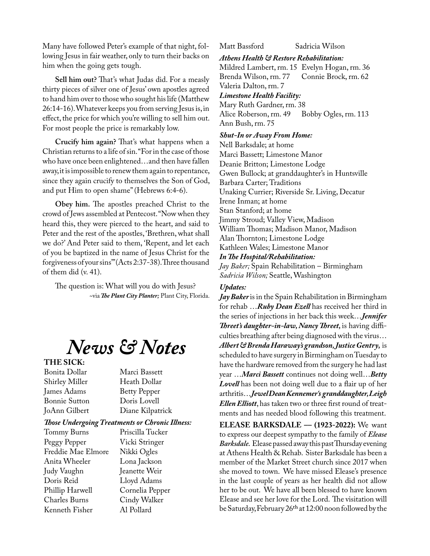Many have followed Peter's example of that night, following Jesus in fair weather, only to turn their backs on him when the going gets tough.

**Sell him out?** That's what Judas did. For a measly thirty pieces of silver one of Jesus' own apostles agreed to hand him over to those who sought his life (Matthew 26:14-16). Whatever keeps you from serving Jesus is, in effect, the price for which you're willing to sell him out. For most people the price is remarkably low.

**Crucify him again?** That's what happens when a Christian returns to a life of sin. "For in the case of those who have once been enlightened…and then have fallen away, it is impossible to renew them again to repentance, since they again crucify to themselves the Son of God, and put Him to open shame" (Hebrews 6:4-6).

**Obey him.** The apostles preached Christ to the crowd of Jews assembled at Pentecost. "Now when they heard this, they were pierced to the heart, and said to Peter and the rest of the apostles, 'Brethren, what shall we do?' And Peter said to them, 'Repent, and let each of you be baptized in the name of Jesus Christ for the forgiveness of your sins'" (Acts 2:37-38). Three thousand of them did (v. 41).

The question is: What will you do with Jesus? ~via *The Plant City Planter;* Plant City, Florida.

# *News & Notes*

# **THE SICK:**

Shirley Miller Heath Dollar James Adams Betty Pepper<br>Bonnie Sutton Doris Lovell Bonnie Sutton

Bonita Dollar Marci Bassett JoAnn Gilbert Diane Kilpatrick

# *Those Undergoing Treatments or Chronic Illness:*

Tommy Burns Peggy Pepper Vicki Stringer Freddie Mae Elmore Nikki Ogles Anita Wheeler Lona Jackson Judy Vaughn Jeanette Weir Doris Reid Lloyd Adams Phillip Harwell Cornelia Pepper Charles Burns Cindy Walker Kenneth Fisher Al Pollard

Matt Bassford Sadricia Wilson

# *Athens Health & Restore Rehabilitation:*

Mildred Lambert, rm. 15 Evelyn Hogan, rm. 36<br>Brenda Wilson, rm. 77 Connie Brock, rm. 62 Brenda Wilson, rm. 77 Valeria Dalton, rm. 7

### *Limestone Health Facility:*

Mary Ruth Gardner, rm. 38<br>Alice Roberson, rm. 49 Bobby Ogles, rm. 113 Alice Roberson, rm. 49 Ann Bush, rm. 75

# *Shut-In or Away From Home:*

Nell Barksdale; at home Marci Bassett; Limestone Manor Deanie Britton; Limestone Lodge Gwen Bullock; at granddaughter's in Huntsville Barbara Carter; Traditions Unaking Currier; Riverside Sr. Living, Decatur Irene Inman; at home Stan Stanford; at home Jimmy Stroud; Valley View, Madison William Thomas; Madison Manor, Madison Alan Thornton; Limestone Lodge Kathleen Wales; Limestone Manor *In The Hospital/Rehabilitation: Jay Baker;* Spain Rehabilitation – Birmingham *Sadricia Wilson;* Seattle, Washington

# *Updates:*

*Jay Baker* is in the Spain Rehabilitation in Birmingham for rehab …*Ruby Dean Ezell* has received her third in the series of injections in her back this week…*Jennifer Threet's daughter-in-law, Nancy Threet,* is having difficulties breathing after being diagnosed with the virus… *Albert & Brenda Haraway's grandson, Justice Gentry,* is scheduled to have surgery in Birmingham on Tuesday to have the hardware removed from the surgery he had last year …*Marci Bassett* continues not doing well…*Betty Lovell* has been not doing well due to a flair up of her arthritis…*Jewel Dean Kennemer's granddaughter, Leigh Ellen Elliott*, has taken two or three first round of treatments and has needed blood following this treatment.

**ELEASE BARKSDALE –– (1923-2022):** We want to express our deepest sympathy to the family of *Elease Barksdale.* Elease passed away this past Thursday evening at Athens Health & Rehab. Sister Barksdale has been a member of the Market Street church since 2017 when she moved to town. We have missed Elease's presence in the last couple of years as her health did not allow her to be out. We have all been blessed to have known Elease and see her love for the Lord. The visitation will be Saturday, February 26th at 12:00 noon followed by the